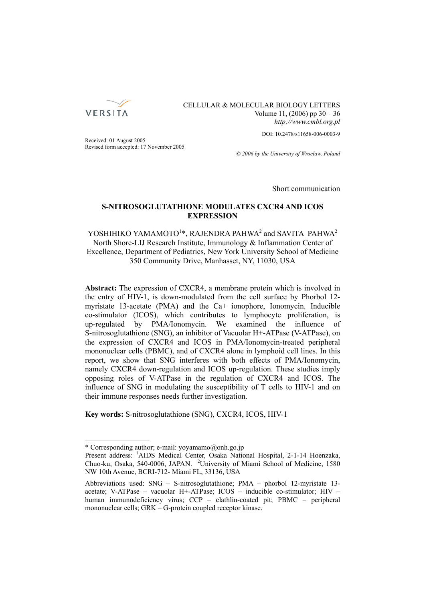

## CELLULAR & MOLECULAR BIOLOGY LETTERS Volume 11, (2006) pp 30 – 36 *http://www.cmbl.org.pl*

DOI: 10.2478/s11658-006-0003-9

Received: 01 August 2005 Revised form accepted: 17 November 2005

*© 2006 by the University of Wrocław, Poland*

Short communication

# **S-NITROSOGLUTATHIONE MODULATES CXCR4 AND ICOS EXPRESSION**

# YOSHIHIKO YAMAMOTO<sup>1</sup>\*, RAJENDRA PAHWA<sup>2</sup> and SAVITA PAHWA<sup>2</sup> North Shore-LIJ Research Institute, Immunology & Inflammation Center of Excellence, Department of Pediatrics, New York University School of Medicine 350 Community Drive, Manhasset, NY, 11030, USA

**Abstract:** The expression of CXCR4, a membrane protein which is involved in the entry of HIV-1, is down-modulated from the cell surface by Phorbol 12 myristate 13-acetate (PMA) and the Ca+ ionophore, Ionomycin. Inducible co-stimulator (ICOS), which contributes to lymphocyte proliferation, is up-regulated by PMA/Ionomycin. We examined the influence of S-nitrosoglutathione (SNG), an inhibitor of Vacuolar H+-ATPase (V-ATPase), on the expression of CXCR4 and ICOS in PMA/Ionomycin-treated peripheral mononuclear cells (PBMC), and of CXCR4 alone in lymphoid cell lines. In this report, we show that SNG interferes with both effects of PMA/Ionomycin, namely CXCR4 down-regulation and ICOS up-regulation. These studies imply opposing roles of V-ATPase in the regulation of CXCR4 and ICOS. The influence of SNG in modulating the susceptibility of T cells to HIV-1 and on their immune responses needs further investigation.

**Key words:** S-nitrosoglutathione (SNG), CXCR4, ICOS, HIV-1

<sup>\*</sup> Corresponding author; e-mail: yoyamamo@onh.go.jp

Present address: <sup>1</sup>AIDS Medical Center, Osaka National Hospital, 2-1-14 Hoenzaka, Chuo-ku, Osaka, 540-0006, JAPAN. <sup>2</sup>University of Miami School of Medicine, 1580 NW 10th Avenue, BCRI-712- Miami FL, 33136, USA

Abbreviations used: SNG – S-nitrosoglutathione; PMA – phorbol 12-myristate 13 acetate; V-ATPase – vacuolar H+-ATPase; ICOS – inducible co-stimulator; HIV – human immunodeficiency virus; CCP – clathlin-coated pit; PBMC – peripheral mononuclear cells; GRK – G-protein coupled receptor kinase.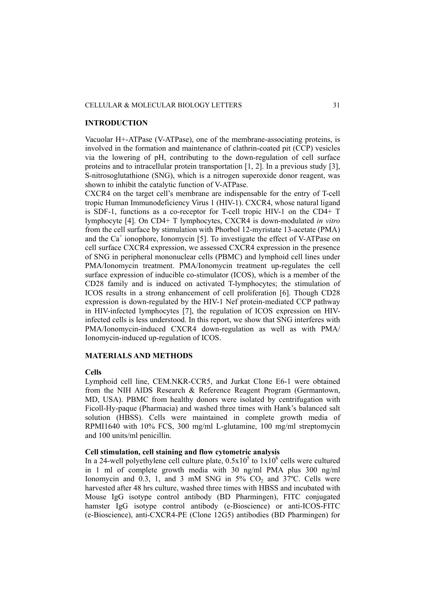#### CELLULAR & MOLECULAR BIOLOGY LETTERS 31

### **INTRODUCTION**

Vacuolar H+-ATPase (V-ATPase), one of the membrane-associating proteins, is involved in the formation and maintenance of clathrin-coated pit (CCP) vesicles via the lowering of pH, contributing to the down-regulation of cell surface proteins and to intracellular protein transportation [1, 2]. In a previous study [3], S-nitrosoglutathione (SNG), which is a nitrogen superoxide donor reagent, was shown to inhibit the catalytic function of V-ATPase.

CXCR4 on the target cell's membrane are indispensable for the entry of T-cell tropic Human Immunodeficiency Virus 1 (HIV-1). CXCR4, whose natural ligand is SDF-1, functions as a co-receptor for T-cell tropic HIV-1 on the CD4+ T lymphocyte [4]. On CD4+ T lymphocytes, CXCR4 is down-modulated *in vitro* from the cell surface by stimulation with Phorbol 12-myristate 13-acetate (PMA) and the  $Ca^+$  ionophore, Ionomycin [5]. To investigate the effect of V-ATPase on cell surface CXCR4 expression, we assessed CXCR4 expression in the presence of SNG in peripheral mononuclear cells (PBMC) and lymphoid cell lines under PMA/Ionomycin treatment. PMA/Ionomycin treatment up-regulates the cell surface expression of inducible co-stimulator (ICOS), which is a member of the CD28 family and is induced on activated T-lymphocytes; the stimulation of ICOS results in a strong enhancement of cell proliferation [6]. Though CD28 expression is down-regulated by the HIV-1 Nef protein-mediated CCP pathway in HIV-infected lymphocytes [7], the regulation of ICOS expression on HIVinfected cells is less understood. In this report, we show that SNG interferes with PMA/Ionomycin-induced CXCR4 down-regulation as well as with PMA/ Ionomycin-induced up-regulation of ICOS.

### **MATERIALS AND METHODS**

#### **Cells**

Lymphoid cell line, CEM.NKR-CCR5, and Jurkat Clone E6-1 were obtained from the NIH AIDS Research & Reference Reagent Program (Germantown, MD, USA). PBMC from healthy donors were isolated by centrifugation with Ficoll-Hy-paque (Pharmacia) and washed three times with Hank's balanced salt solution (HBSS). Cells were maintained in complete growth media of RPMI1640 with 10% FCS, 300 mg/ml L-glutamine, 100 mg/ml streptomycin and 100 units/ml penicillin.

# **Cell stimulation, cell staining and flow cytometric analysis**

In a 24-well polyethylene cell culture plate,  $0.5x10^5$  to  $1x10^6$  cells were cultured in 1 ml of complete growth media with 30 ng/ml PMA plus 300 ng/ml Ionomycin and  $0.3$ , 1, and 3 mM SNG in  $5\%$  CO<sub>2</sub> and  $37^{\circ}$ C. Cells were harvested after 48 hrs culture, washed three times with HBSS and incubated with Mouse IgG isotype control antibody (BD Pharmingen), FITC conjugated hamster IgG isotype control antibody (e-Bioscience) or anti-ICOS-FITC (e-Bioscience), anti-CXCR4-PE (Clone 12G5) antibodies (BD Pharmingen) for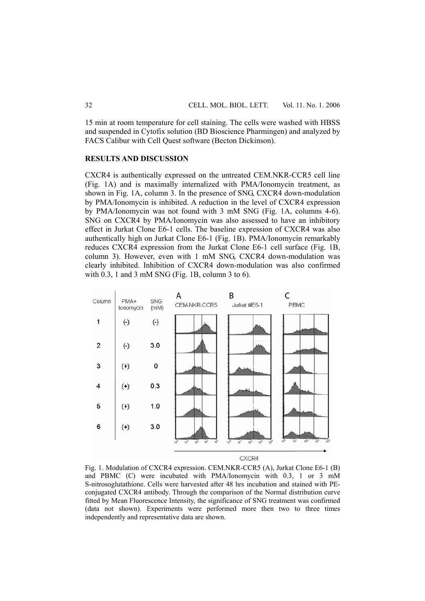15 min at room temperature for cell staining. The cells were washed with HBSS and suspended in Cytofix solution (BD Bioscience Pharmingen) and analyzed by FACS Calibur with Cell Quest software (Becton Dickinson).

#### **RESULTS AND DISCUSSION**

CXCR4 is authentically expressed on the untreated CEM.NKR-CCR5 cell line (Fig. 1A) and is maximally internalized with PMA/Ionomycin treatment, as shown in Fig. 1A, column 3. In the presence of SNG, CXCR4 down-modulation by PMA/Ionomycin is inhibited. A reduction in the level of CXCR4 expression by PMA/Ionomycin was not found with 3 mM SNG (Fig. 1A, columns 4-6). SNG on CXCR4 by PMA/Ionomycin was also assessed to have an inhibitory effect in Jurkat Clone E6-1 cells. The baseline expression of CXCR4 was also authentically high on Jurkat Clone E6-1 (Fig. 1B). PMA/Ionomycin remarkably reduces CXCR4 expression from the Jurkat Clone E6-1 cell surface (Fig. 1B, column 3). However, even with 1 mM SNG, CXCR4 down-modulation was clearly inhibited. Inhibition of CXCR4 down-modulation was also confirmed with 0.3, 1 and 3 mM SNG (Fig. 1B, column 3 to 6).



CXCR4

Fig. 1. Modulation of CXCR4 expression. CEM.NKR-CCR5 (A), Jurkat Clone E6-1 (B) and PBMC (C) were incubated with PMA/Ionomycin with 0.3, 1 or 3 mM S-nitrosoglutathione. Cells were harvested after 48 hrs incubation and stained with PEconjugated CXCR4 antibody. Through the comparison of the Normal distribution curve fitted by Mean Fluorescence Intensity, the significance of SNG treatment was confirmed (data not shown). Experiments were performed more then two to three times independently and representative data are shown.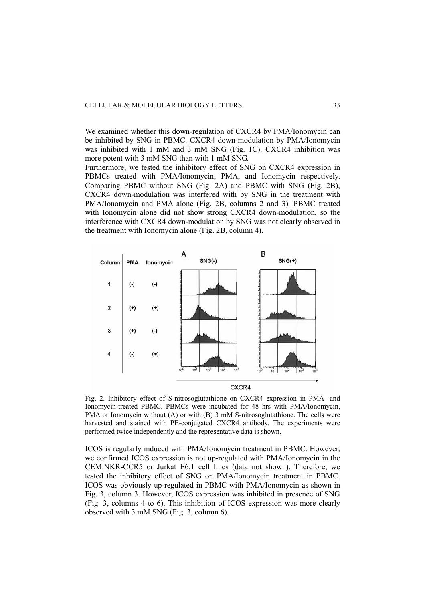We examined whether this down-regulation of CXCR4 by PMA/Ionomycin can be inhibited by SNG in PBMC. CXCR4 down-modulation by PMA/Ionomycin was inhibited with 1 mM and 3 mM SNG (Fig. 1C). CXCR4 inhibition was more potent with 3 mM SNG than with 1 mM SNG.

Furthermore, we tested the inhibitory effect of SNG on CXCR4 expression in PBMCs treated with PMA/Ionomycin, PMA, and Ionomycin respectively. Comparing PBMC without SNG (Fig. 2A) and PBMC with SNG (Fig. 2B), CXCR4 down-modulation was interfered with by SNG in the treatment with PMA/Ionomycin and PMA alone (Fig. 2B, columns 2 and 3). PBMC treated with Ionomycin alone did not show strong CXCR4 down-modulation, so the interference with CXCR4 down-modulation by SNG was not clearly observed in the treatment with Ionomycin alone (Fig. 2B, column 4).



Fig. 2. Inhibitory effect of S-nitrosoglutathione on CXCR4 expression in PMA- and Ionomycin-treated PBMC. PBMCs were incubated for 48 hrs with PMA/Ionomycin, PMA or Ionomycin without (A) or with (B) 3 mM S-nitrosoglutathione. The cells were harvested and stained with PE-conjugated CXCR4 antibody. The experiments were performed twice independently and the representative data is shown.

ICOS is regularly induced with PMA/Ionomycin treatment in PBMC. However, we confirmed ICOS expression is not up-regulated with PMA/Ionomycin in the CEM.NKR-CCR5 or Jurkat E6.1 cell lines (data not shown). Therefore, we tested the inhibitory effect of SNG on PMA/Ionomycin treatment in PBMC. ICOS was obviously up-regulated in PBMC with PMA/Ionomycin as shown in Fig. 3, column 3. However, ICOS expression was inhibited in presence of SNG (Fig. 3, columns 4 to 6). This inhibition of ICOS expression was more clearly observed with 3 mM SNG (Fig. 3, column 6).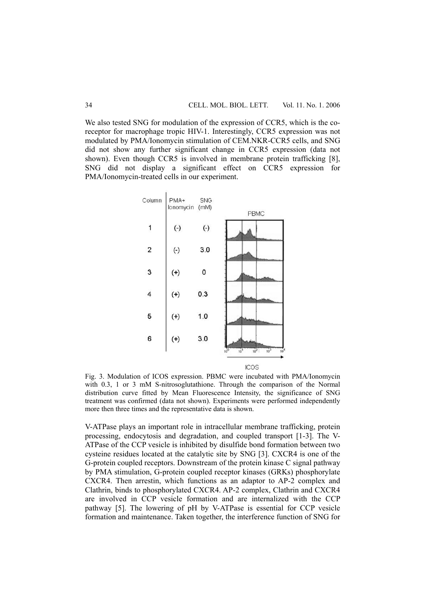We also tested SNG for modulation of the expression of CCR5, which is the coreceptor for macrophage tropic HIV-1. Interestingly, CCR5 expression was not modulated by PMA/Ionomycin stimulation of CEM.NKR-CCR5 cells, and SNG did not show any further significant change in CCR5 expression (data not shown). Even though CCR5 is involved in membrane protein trafficking [8], SNG did not display a significant effect on CCR5 expression for PMA/Ionomycin-treated cells in our experiment.



Fig. 3. Modulation of ICOS expression. PBMC were incubated with PMA/Ionomycin with 0.3, 1 or 3 mM S-nitrosoglutathione. Through the comparison of the Normal distribution curve fitted by Mean Fluorescence Intensity, the significance of SNG treatment was confirmed (data not shown). Experiments were performed independently more then three times and the representative data is shown.

V-ATPase plays an important role in intracellular membrane trafficking, protein processing, endocytosis and degradation, and coupled transport [1-3]. The V-ATPase of the CCP vesicle is inhibited by disulfide bond formation between two cysteine residues located at the catalytic site by SNG [3]. CXCR4 is one of the G-protein coupled receptors. Downstream of the protein kinase C signal pathway by PMA stimulation, G-protein coupled receptor kinases (GRKs) phosphorylate CXCR4. Then arrestin, which functions as an adaptor to AP-2 complex and Clathrin, binds to phosphorylated CXCR4. AP-2 complex, Clathrin and CXCR4 are involved in CCP vesicle formation and are internalized with the CCP pathway [5]. The lowering of pH by V-ATPase is essential for CCP vesicle formation and maintenance. Taken together, the interference function of SNG for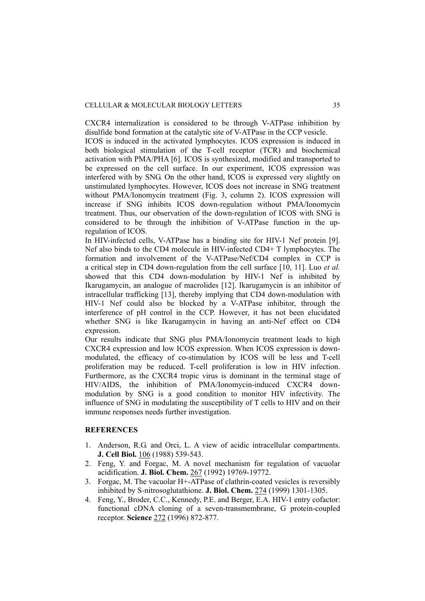CXCR4 internalization is considered to be through V-ATPase inhibition by disulfide bond formation at the catalytic site of V-ATPase in the CCP vesicle.

ICOS is induced in the activated lymphocytes. ICOS expression is induced in both biological stimulation of the T-cell receptor (TCR) and biochemical activation with PMA/PHA [6]. ICOS is synthesized, modified and transported to be expressed on the cell surface. In our experiment, ICOS expression was interfered with by SNG. On the other hand, ICOS is expressed very slightly on unstimulated lymphocytes. However, ICOS does not increase in SNG treatment without PMA/Ionomycin treatment (Fig. 3, column 2). ICOS expression will increase if SNG inhibits ICOS down-regulation without PMA/Ionomycin treatment. Thus, our observation of the down-regulation of ICOS with SNG is considered to be through the inhibition of V-ATPase function in the upregulation of ICOS.

In HIV-infected cells, V-ATPase has a binding site for HIV-1 Nef protein [9]. Nef also binds to the CD4 molecule in HIV-infected CD4+ T lymphocytes. The formation and involvement of the V-ATPase/Nef/CD4 complex in CCP is a critical step in CD4 down-regulation from the cell surface [10, 11]. Luo *et al.* showed that this CD4 down-modulation by HIV-1 Nef is inhibited by Ikarugamycin, an analogue of macrolides [12]. Ikarugamycin is an inhibitor of intracellular trafficking [13], thereby implying that CD4 down-modulation with HIV-1 Nef could also be blocked by a V-ATPase inhibitor, through the interference of pH control in the CCP. However, it has not been elucidated whether SNG is like Ikarugamycin in having an anti-Nef effect on CD4 expression.

Our results indicate that SNG plus PMA/Ionomycin treatment leads to high CXCR4 expression and low ICOS expression. When ICOS expression is downmodulated, the efficacy of co-stimulation by ICOS will be less and T-cell proliferation may be reduced. T-cell proliferation is low in HIV infection. Furthermore, as the CXCR4 tropic virus is dominant in the terminal stage of HIV/AIDS, the inhibition of PMA/Ionomycin-induced CXCR4 downmodulation by SNG is a good condition to monitor HIV infectivity. The influence of SNG in modulating the susceptibility of T cells to HIV and on their immune responses needs further investigation.

## **REFERENCES**

- 1. Anderson, R.G. and Orci, L. A view of acidic intracellular compartments. **J. Cell Biol.** 106 (1988) 539-543.
- 2. Feng, Y. and Forgac, M. A novel mechanism for regulation of vacuolar acidification. **J. Biol. Chem.** 267 (1992) 19769-19772.
- 3. Forgac, M. The vacuolar H+-ATPase of clathrin-coated vesicles is reversibly inhibited by S-nitrosoglutathione. **J. Biol. Chem.** 274 (1999) 1301-1305.
- 4. Feng, Y., Broder, C.C., Kennedy, P.E. and Berger, E.A. HIV-1 entry cofactor: functional cDNA cloning of a seven-transmembrane, G protein-coupled receptor. **Science** 272 (1996) 872-877.